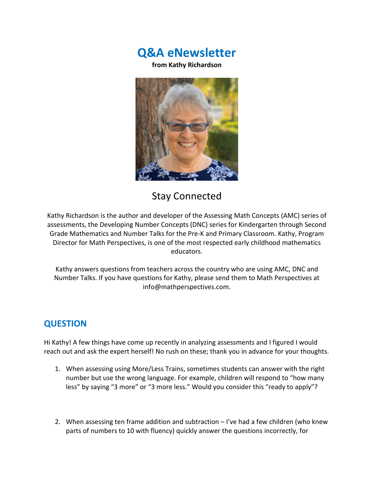**Q&A eNewsletter**

**from Kathy Richardson**



# Stay Connected

Kathy Richardson is the author and developer of the Assessing Math Concepts (AMC) series of assessments, the Developing Number Concepts (DNC) series for Kindergarten through Second Grade Mathematics and Number Talks for the Pre-K and Primary Classroom. Kathy, Program Director for Math Perspectives, is one of the most respected early childhood mathematics educators.

Kathy answers questions from teachers across the country who are using AMC, DNC and Number Talks. If you have questions for Kathy, please send them to Math Perspectives at info@mathperspectives.com.

# **QUESTION**

Hi Kathy! A few things have come up recently in analyzing assessments and I figured I would reach out and ask the expert herself! No rush on these; thank you in advance for your thoughts.

- 1. When assessing using More/Less Trains, sometimes students can answer with the right number but use the wrong language. For example, children will respond to "how many less" by saying "3 more" or "3 more less." Would you consider this "ready to apply"?
- 2. When assessing ten frame addition and subtraction  $-1$  ve had a few children (who knew parts of numbers to 10 with fluency) quickly answer the questions incorrectly, for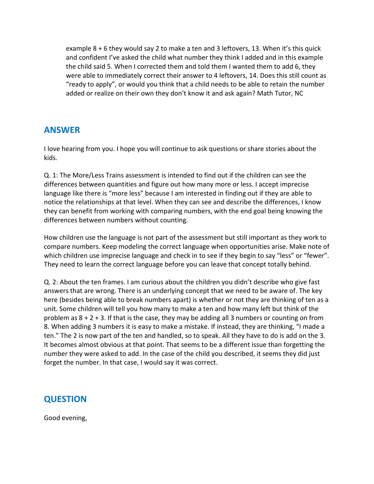example 8 + 6 they would say 2 to make a ten and 3 leftovers, 13. When it's this quick and confident I've asked the child what number they think I added and in this example the child said 5. When I corrected them and told them I wanted them to add 6, they were able to immediately correct their answer to 4 leftovers, 14. Does this still count as "ready to apply", or would you think that a child needs to be able to retain the number added or realize on their own they don't know it and ask again? Math Tutor, NC

#### **ANSWER**

I love hearing from you. I hope you will continue to ask questions or share stories about the kids.

Q. 1: The More/Less Trains assessment is intended to find out if the children can see the differences between quantities and figure out how many more or less. I accept imprecise language like there is "more less" because I am interested in finding out if they are able to notice the relationships at that level. When they can see and describe the differences, I know they can benefit from working with comparing numbers, with the end goal being knowing the differences between numbers without counting.

How children use the language is not part of the assessment but still important as they work to compare numbers. Keep modeling the correct language when opportunities arise. Make note of which children use imprecise language and check in to see if they begin to say "less" or "fewer". They need to learn the correct language before you can leave that concept totally behind.

Q. 2: About the ten frames. I am curious about the children you didn't describe who give fast answers that are wrong. There is an underlying concept that we need to be aware of. The key here (besides being able to break numbers apart) is whether or not they are thinking of ten as a unit. Some children will tell you how many to make a ten and how many left but think of the problem as  $8 + 2 + 3$ . If that is the case, they may be adding all 3 numbers or counting on from 8. When adding 3 numbers it is easy to make a mistake. If instead, they are thinking, "I made a ten." The 2 is now part of the ten and handled, so to speak. All they have to do is add on the 3. It becomes almost obvious at that point. That seems to be a different issue than forgetting the number they were asked to add. In the case of the child you described, it seems they did just forget the number. In that case, I would say it was correct.

### **QUESTION**

Good evening,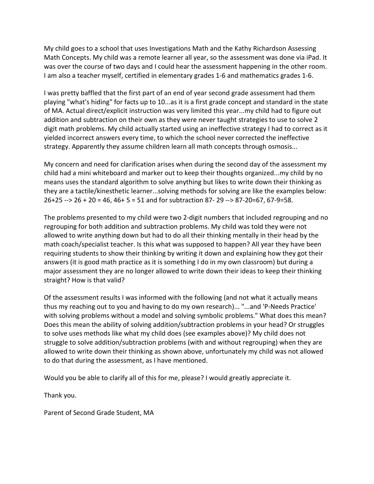My child goes to a school that uses Investigations Math and the Kathy Richardson Assessing Math Concepts. My child was a remote learner all year, so the assessment was done via iPad. It was over the course of two days and I could hear the assessment happening in the other room. I am also a teacher myself, certified in elementary grades 1-6 and mathematics grades 1-6.

I was pretty baffled that the first part of an end of year second grade assessment had them playing "what's hiding" for facts up to 10...as it is a first grade concept and standard in the state of MA. Actual direct/explicit instruction was very limited this year...my child had to figure out addition and subtraction on their own as they were never taught strategies to use to solve 2 digit math problems. My child actually started using an ineffective strategy I had to correct as it yielded incorrect answers every time, to which the school never corrected the ineffective strategy. Apparently they assume children learn all math concepts through osmosis...

My concern and need for clarification arises when during the second day of the assessment my child had a mini whiteboard and marker out to keep their thoughts organized...my child by no means uses the standard algorithm to solve anything but likes to write down their thinking as they are a tactile/kinesthetic learner...solving methods for solving are like the examples below: 26+25 --> 26 + 20 = 46, 46+ 5 = 51 and for subtraction 87- 29 --> 87-20=67, 67-9=58.

The problems presented to my child were two 2-digit numbers that included regrouping and no regrouping for both addition and subtraction problems. My child was told they were not allowed to write anything down but had to do all their thinking mentally in their head by the math coach/specialist teacher. Is this what was supposed to happen? All year they have been requiring students to show their thinking by writing it down and explaining how they got their answers (it is good math practice as it is something I do in my own classroom) but during a major assessment they are no longer allowed to write down their ideas to keep their thinking straight? How is that valid?

Of the assessment results I was informed with the following (and not what it actually means thus my reaching out to you and having to do my own research)... "...and 'P-Needs Practice' with solving problems without a model and solving symbolic problems." What does this mean? Does this mean the ability of solving addition/subtraction problems in your head? Or struggles to solve uses methods like what my child does (see examples above)? My child does not struggle to solve addition/subtraction problems (with and without regrouping) when they are allowed to write down their thinking as shown above, unfortunately my child was not allowed to do that during the assessment, as I have mentioned.

Would you be able to clarify all of this for me, please? I would greatly appreciate it.

Thank you.

Parent of Second Grade Student, MA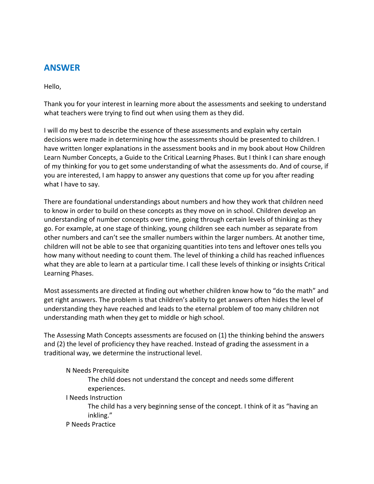## **ANSWER**

Hello,

Thank you for your interest in learning more about the assessments and seeking to understand what teachers were trying to find out when using them as they did.

I will do my best to describe the essence of these assessments and explain why certain decisions were made in determining how the assessments should be presented to children. I have written longer explanations in the assessment books and in my book about How Children Learn Number Concepts, a Guide to the Critical Learning Phases. But I think I can share enough of my thinking for you to get some understanding of what the assessments do. And of course, if you are interested, I am happy to answer any questions that come up for you after reading what I have to say.

There are foundational understandings about numbers and how they work that children need to know in order to build on these concepts as they move on in school. Children develop an understanding of number concepts over time, going through certain levels of thinking as they go. For example, at one stage of thinking, young children see each number as separate from other numbers and can't see the smaller numbers within the larger numbers. At another time, children will not be able to see that organizing quantities into tens and leftover ones tells you how many without needing to count them. The level of thinking a child has reached influences what they are able to learn at a particular time. I call these levels of thinking or insights Critical Learning Phases.

Most assessments are directed at finding out whether children know how to "do the math" and get right answers. The problem is that children's ability to get answers often hides the level of understanding they have reached and leads to the eternal problem of too many children not understanding math when they get to middle or high school.

The Assessing Math Concepts assessments are focused on (1) the thinking behind the answers and (2) the level of proficiency they have reached. Instead of grading the assessment in a traditional way, we determine the instructional level.

#### N Needs Prerequisite

The child does not understand the concept and needs some different experiences.

I Needs Instruction

The child has a very beginning sense of the concept. I think of it as "having an inkling."

P Needs Practice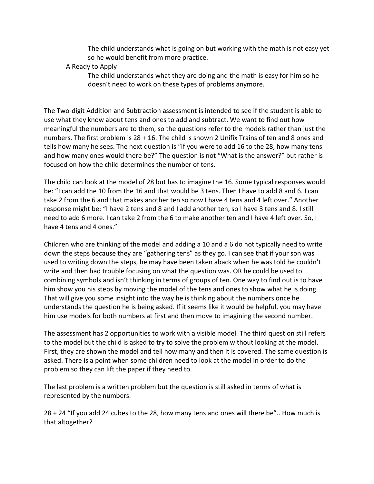The child understands what is going on but working with the math is not easy yet so he would benefit from more practice.

#### A Ready to Apply

The child understands what they are doing and the math is easy for him so he doesn't need to work on these types of problems anymore.

The Two-digit Addition and Subtraction assessment is intended to see if the student is able to use what they know about tens and ones to add and subtract. We want to find out how meaningful the numbers are to them, so the questions refer to the models rather than just the numbers. The first problem is 28 + 16. The child is shown 2 Unifix Trains of ten and 8 ones and tells how many he sees. The next question is "If you were to add 16 to the 28, how many tens and how many ones would there be?" The question is not "What is the answer?" but rather is focused on how the child determines the number of tens.

The child can look at the model of 28 but has to imagine the 16. Some typical responses would be: "I can add the 10 from the 16 and that would be 3 tens. Then I have to add 8 and 6. I can take 2 from the 6 and that makes another ten so now I have 4 tens and 4 left over." Another response might be: "I have 2 tens and 8 and I add another ten, so I have 3 tens and 8. I still need to add 6 more. I can take 2 from the 6 to make another ten and I have 4 left over. So, I have 4 tens and 4 ones."

Children who are thinking of the model and adding a 10 and a 6 do not typically need to write down the steps because they are "gathering tens" as they go. I can see that if your son was used to writing down the steps, he may have been taken aback when he was told he couldn't write and then had trouble focusing on what the question was. OR he could be used to combining symbols and isn't thinking in terms of groups of ten. One way to find out is to have him show you his steps by moving the model of the tens and ones to show what he is doing. That will give you some insight into the way he is thinking about the numbers once he understands the question he is being asked. If it seems like it would be helpful, you may have him use models for both numbers at first and then move to imagining the second number.

The assessment has 2 opportunities to work with a visible model. The third question still refers to the model but the child is asked to try to solve the problem without looking at the model. First, they are shown the model and tell how many and then it is covered. The same question is asked. There is a point when some children need to look at the model in order to do the problem so they can lift the paper if they need to.

The last problem is a written problem but the question is still asked in terms of what is represented by the numbers.

28 + 24 "If you add 24 cubes to the 28, how many tens and ones will there be".. How much is that altogether?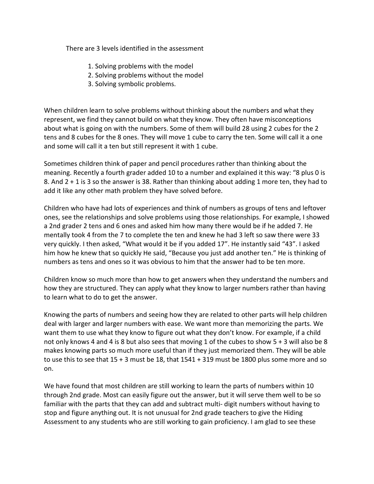There are 3 levels identified in the assessment

- 1. Solving problems with the model
- 2. Solving problems without the model
- 3. Solving symbolic problems.

When children learn to solve problems without thinking about the numbers and what they represent, we find they cannot build on what they know. They often have misconceptions about what is going on with the numbers. Some of them will build 28 using 2 cubes for the 2 tens and 8 cubes for the 8 ones. They will move 1 cube to carry the ten. Some will call it a one and some will call it a ten but still represent it with 1 cube.

Sometimes children think of paper and pencil procedures rather than thinking about the meaning. Recently a fourth grader added 10 to a number and explained it this way: "8 plus 0 is 8. And 2 + 1 is 3 so the answer is 38. Rather than thinking about adding 1 more ten, they had to add it like any other math problem they have solved before.

Children who have had lots of experiences and think of numbers as groups of tens and leftover ones, see the relationships and solve problems using those relationships. For example, I showed a 2nd grader 2 tens and 6 ones and asked him how many there would be if he added 7. He mentally took 4 from the 7 to complete the ten and knew he had 3 left so saw there were 33 very quickly. I then asked, "What would it be if you added 17". He instantly said "43". I asked him how he knew that so quickly He said, "Because you just add another ten." He is thinking of numbers as tens and ones so it was obvious to him that the answer had to be ten more.

Children know so much more than how to get answers when they understand the numbers and how they are structured. They can apply what they know to larger numbers rather than having to learn what to do to get the answer.

Knowing the parts of numbers and seeing how they are related to other parts will help children deal with larger and larger numbers with ease. We want more than memorizing the parts. We want them to use what they know to figure out what they don't know. For example, if a child not only knows 4 and 4 is 8 but also sees that moving 1 of the cubes to show 5 + 3 will also be 8 makes knowing parts so much more useful than if they just memorized them. They will be able to use this to see that 15 + 3 must be 18, that 1541 + 319 must be 1800 plus some more and so on.

We have found that most children are still working to learn the parts of numbers within 10 through 2nd grade. Most can easily figure out the answer, but it will serve them well to be so familiar with the parts that they can add and subtract multi- digit numbers without having to stop and figure anything out. It is not unusual for 2nd grade teachers to give the Hiding Assessment to any students who are still working to gain proficiency. I am glad to see these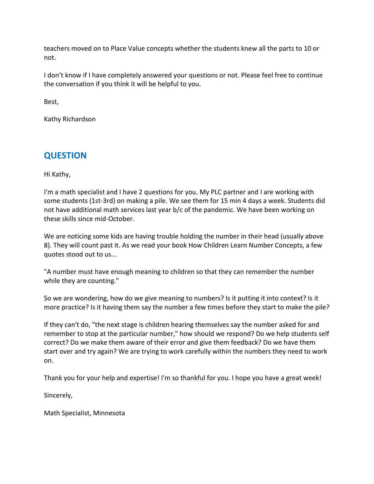teachers moved on to Place Value concepts whether the students knew all the parts to 10 or not.

I don't know if I have completely answered your questions or not. Please feel free to continue the conversation if you think it will be helpful to you.

Best,

Kathy Richardson

# **QUESTION**

Hi Kathy,

I'm a math specialist and I have 2 questions for you. My PLC partner and I are working with some students (1st-3rd) on making a pile. We see them for 15 min 4 days a week. Students did not have additional math services last year b/c of the pandemic. We have been working on these skills since mid-October.

We are noticing some kids are having trouble holding the number in their head (usually above 8). They will count past it. As we read your book How Children Learn Number Concepts, a few quotes stood out to us...

"A number must have enough meaning to children so that they can remember the number while they are counting."

So we are wondering, how do we give meaning to numbers? Is it putting it into context? Is it more practice? Is it having them say the number a few times before they start to make the pile?

If they can't do, "the next stage is children hearing themselves say the number asked for and remember to stop at the particular number," how should we respond? Do we help students self correct? Do we make them aware of their error and give them feedback? Do we have them start over and try again? We are trying to work carefully within the numbers they need to work on.

Thank you for your help and expertise! I'm so thankful for you. I hope you have a great week!

Sincerely,

Math Specialist, Minnesota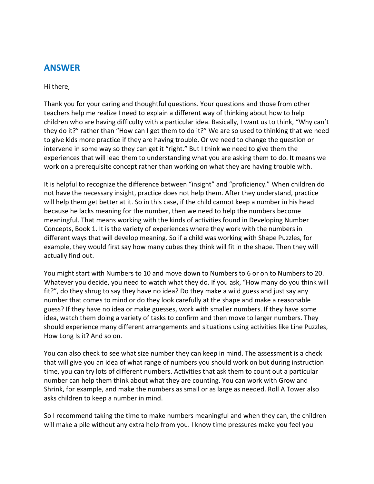### **ANSWER**

Hi there,

Thank you for your caring and thoughtful questions. Your questions and those from other teachers help me realize I need to explain a different way of thinking about how to help children who are having difficulty with a particular idea. Basically, I want us to think, "Why can't they do it?" rather than "How can I get them to do it?" We are so used to thinking that we need to give kids more practice if they are having trouble. Or we need to change the question or intervene in some way so they can get it "right." But I think we need to give them the experiences that will lead them to understanding what you are asking them to do. It means we work on a prerequisite concept rather than working on what they are having trouble with.

It is helpful to recognize the difference between "insight" and "proficiency." When children do not have the necessary insight, practice does not help them. After they understand, practice will help them get better at it. So in this case, if the child cannot keep a number in his head because he lacks meaning for the number, then we need to help the numbers become meaningful. That means working with the kinds of activities found in Developing Number Concepts, Book 1. It is the variety of experiences where they work with the numbers in different ways that will develop meaning. So if a child was working with Shape Puzzles, for example, they would first say how many cubes they think will fit in the shape. Then they will actually find out.

You might start with Numbers to 10 and move down to Numbers to 6 or on to Numbers to 20. Whatever you decide, you need to watch what they do. If you ask, "How many do you think will fit?", do they shrug to say they have no idea? Do they make a wild guess and just say any number that comes to mind or do they look carefully at the shape and make a reasonable guess? If they have no idea or make guesses, work with smaller numbers. If they have some idea, watch them doing a variety of tasks to confirm and then move to larger numbers. They should experience many different arrangements and situations using activities like Line Puzzles, How Long Is it? And so on.

You can also check to see what size number they can keep in mind. The assessment is a check that will give you an idea of what range of numbers you should work on but during instruction time, you can try lots of different numbers. Activities that ask them to count out a particular number can help them think about what they are counting. You can work with Grow and Shrink, for example, and make the numbers as small or as large as needed. Roll A Tower also asks children to keep a number in mind.

So I recommend taking the time to make numbers meaningful and when they can, the children will make a pile without any extra help from you. I know time pressures make you feel you